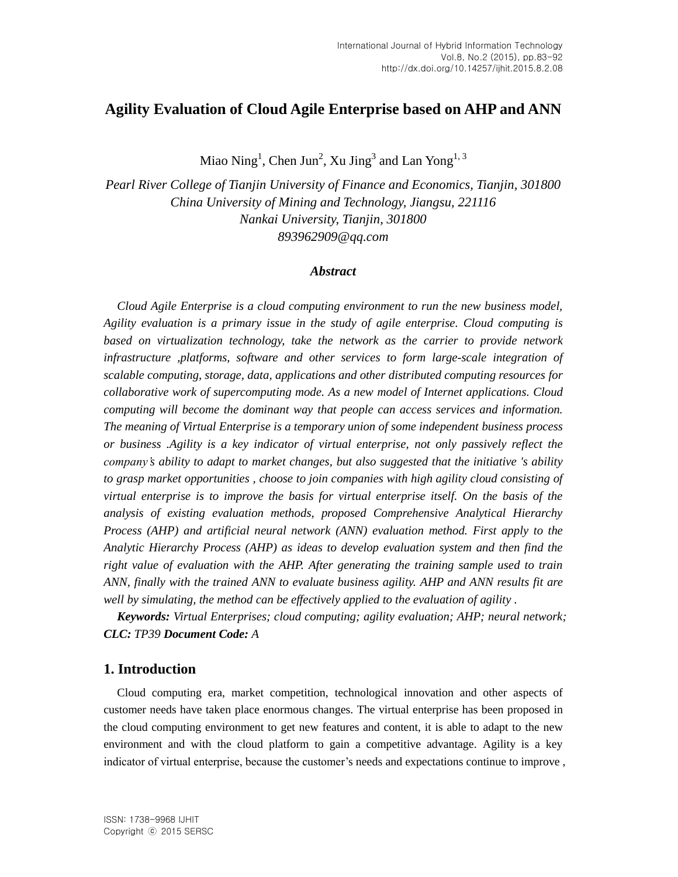## **Agility Evaluation of Cloud Agile Enterprise based on AHP and ANN**

Miao Ning<sup>1</sup>, Chen Jun<sup>2</sup>, Xu Jing<sup>3</sup> and Lan Yong<sup>1, 3</sup>

*Pearl River College of Tianjin University of Finance and Economics, Tianjin, 301800 China University of Mining and Technology, Jiangsu, 221116 Nankai University, Tianjin, 301800 893962909@qq.com*

#### *Abstract*

*Cloud Agile Enterprise is a cloud computing environment to run the new business model, Agility evaluation is a primary issue in the study of agile enterprise. Cloud computing is based on virtualization technology, take the network as the carrier to provide network infrastructure ,platforms, software and other services to form large-scale integration of scalable computing, storage, data, applications and other distributed computing resources for collaborative work of supercomputing mode. As a new model of Internet applications. Cloud computing will become the dominant way that people can access services and information. The meaning of Virtual Enterprise is a temporary union of some independent business process or business .Agility is a key indicator of virtual enterprise, not only passively reflect the company's ability to adapt to market changes, but also suggested that the initiative 's ability to grasp market opportunities , choose to join companies with high agility cloud consisting of virtual enterprise is to improve the basis for virtual enterprise itself. On the basis of the analysis of existing evaluation methods, proposed Comprehensive Analytical Hierarchy Process (AHP) and artificial neural network (ANN) evaluation method. First apply to the Analytic Hierarchy Process (AHP) as ideas to develop evaluation system and then find the right value of evaluation with the AHP. After generating the training sample used to train ANN, finally with the trained ANN to evaluate business agility. AHP and ANN results fit are well by simulating, the method can be effectively applied to the evaluation of agility .*

*Keywords: Virtual Enterprises; cloud computing; agility evaluation; AHP; neural network; CLC: TP39 Document Code: A*

### **1. Introduction**

Cloud computing era, market competition, technological innovation and other aspects of customer needs have taken place enormous changes. The virtual enterprise has been proposed in the cloud computing environment to get new features and content, it is able to adapt to the new environment and with the cloud platform to gain a competitive advantage. Agility is a key indicator of virtual enterprise, because the customer's needs and expectations continue to improve ,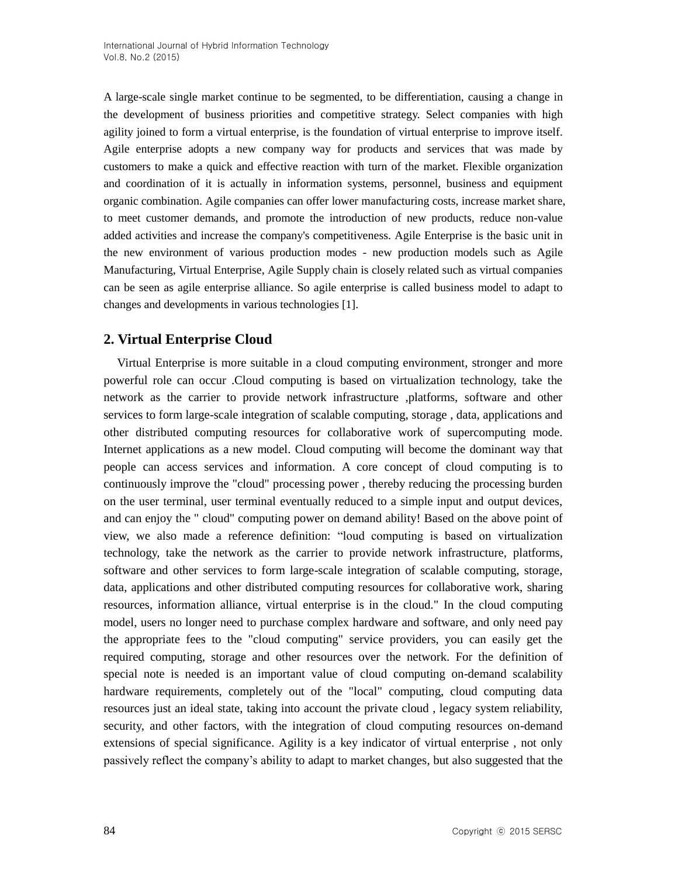A large-scale single market continue to be segmented, to be differentiation, causing a change in the development of business priorities and competitive strategy. Select companies with high agility joined to form a virtual enterprise, is the foundation of virtual enterprise to improve itself. Agile enterprise adopts a new company way for products and services that was made by customers to make a quick and effective reaction with turn of the market. Flexible organization and coordination of it is actually in information systems, personnel, business and equipment organic combination. Agile companies can offer lower manufacturing costs, increase market share, to meet customer demands, and promote the introduction of new products, reduce non-value added activities and increase the company's competitiveness. Agile Enterprise is the basic unit in the new environment of various production modes - new production models such as Agile Manufacturing, Virtual Enterprise, Agile Supply chain is closely related such as virtual companies can be seen as agile enterprise alliance. So agile enterprise is called business model to adapt to changes and developments in various technologies [1].

## **2. Virtual Enterprise Cloud**

Virtual Enterprise is more suitable in a cloud computing environment, stronger and more powerful role can occur .Cloud computing is based on virtualization technology, take the network as the carrier to provide network infrastructure ,platforms, software and other services to form large-scale integration of scalable computing, storage , data, applications and other distributed computing resources for collaborative work of supercomputing mode. Internet applications as a new model. Cloud computing will become the dominant way that people can access services and information. A core concept of cloud computing is to continuously improve the "cloud" processing power , thereby reducing the processing burden on the user terminal, user terminal eventually reduced to a simple input and output devices, and can enjoy the " cloud" computing power on demand ability! Based on the above point of view, we also made a reference definition: "loud computing is based on virtualization technology, take the network as the carrier to provide network infrastructure, platforms, software and other services to form large-scale integration of scalable computing, storage, data, applications and other distributed computing resources for collaborative work, sharing resources, information alliance, virtual enterprise is in the cloud." In the cloud computing model, users no longer need to purchase complex hardware and software, and only need pay the appropriate fees to the "cloud computing" service providers, you can easily get the required computing, storage and other resources over the network. For the definition of special note is needed is an important value of cloud computing on-demand scalability hardware requirements, completely out of the "local" computing, cloud computing data resources just an ideal state, taking into account the private cloud , legacy system reliability, security, and other factors, with the integration of cloud computing resources on-demand extensions of special significance. Agility is a key indicator of virtual enterprise , not only passively reflect the company's ability to adapt to market changes, but also suggested that the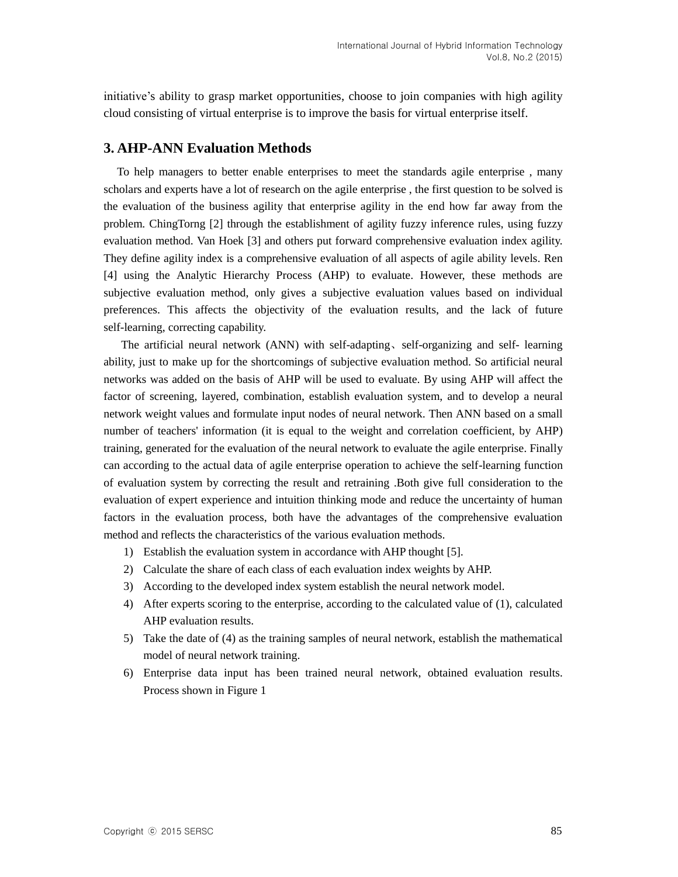initiative's ability to grasp market opportunities, choose to join companies with high agility cloud consisting of virtual enterprise is to improve the basis for virtual enterprise itself.

## **3. AHP-ANN Evaluation Methods**

To help managers to better enable enterprises to meet the standards agile enterprise , many scholars and experts have a lot of research on the agile enterprise , the first question to be solved is the evaluation of the business agility that enterprise agility in the end how far away from the problem. ChingTorng [2] through the establishment of agility fuzzy inference rules, using fuzzy evaluation method. Van Hoek [3] and others put forward comprehensive evaluation index agility. They define agility index is a comprehensive evaluation of all aspects of agile ability levels. Ren [4] using the Analytic Hierarchy Process (AHP) to evaluate. However, these methods are subjective evaluation method, only gives a subjective evaluation values based on individual preferences. This affects the objectivity of the evaluation results, and the lack of future self-learning, correcting capability.

 The artificial neural network (ANN) with self-adapting、self-organizing and self- learning ability, just to make up for the shortcomings of subjective evaluation method. So artificial neural networks was added on the basis of AHP will be used to evaluate. By using AHP will affect the factor of screening, layered, combination, establish evaluation system, and to develop a neural network weight values and formulate input nodes of neural network. Then ANN based on a small number of teachers' information (it is equal to the weight and correlation coefficient, by AHP) training, generated for the evaluation of the neural network to evaluate the agile enterprise. Finally can according to the actual data of agile enterprise operation to achieve the self-learning function of evaluation system by correcting the result and retraining .Both give full consideration to the evaluation of expert experience and intuition thinking mode and reduce the uncertainty of human factors in the evaluation process, both have the advantages of the comprehensive evaluation method and reflects the characteristics of the various evaluation methods.

- 1) Establish the evaluation system in accordance with AHP thought [5].
- 2) Calculate the share of each class of each evaluation index weights by AHP.
- 3) According to the developed index system establish the neural network model.
- 4) After experts scoring to the enterprise, according to the calculated value of (1), calculated AHP evaluation results.
- 5) Take the date of (4) as the training samples of neural network, establish the mathematical model of neural network training.
- 6) Enterprise data input has been trained neural network, obtained evaluation results. Process shown in Figure 1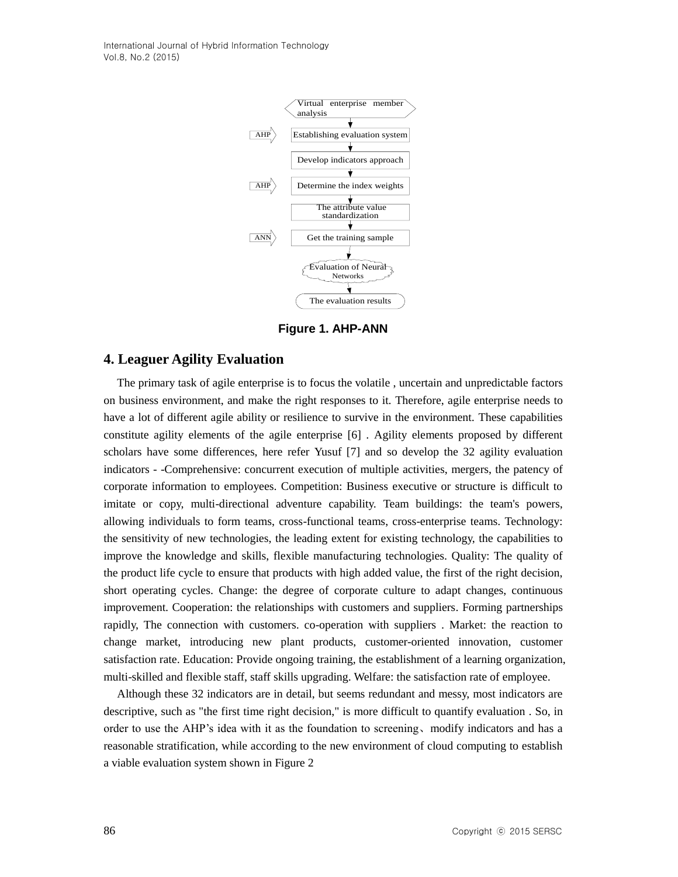

**Figure 1. AHP-ANN**

#### **4. Leaguer Agility Evaluation**

**Example to the interaction of the interaction of the interaction of the interaction of the interaction of the interaction of the interaction of the interaction of the interaction of the interaction of the interaction of** The primary task of agile enterprise is to focus the volatile , uncertain and unpredictable factors on business environment, and make the right responses to it. Therefore, agile enterprise needs to have a lot of different agile ability or resilience to survive in the environment. These capabilities constitute agility elements of the agile enterprise [6] . Agility elements proposed by different scholars have some differences, here refer Yusuf [7] and so develop the 32 agility evaluation indicators - -Comprehensive: concurrent execution of multiple activities, mergers, the patency of corporate information to employees. Competition: Business executive or structure is difficult to imitate or copy, multi-directional adventure capability. Team buildings: the team's powers, allowing individuals to form teams, cross-functional teams, cross-enterprise teams. Technology: the sensitivity of new technologies, the leading extent for existing technology, the capabilities to improve the knowledge and skills, flexible manufacturing technologies. Quality: The quality of the product life cycle to ensure that products with high added value, the first of the right decision, short operating cycles. Change: the degree of corporate culture to adapt changes, continuous improvement. Cooperation: the relationships with customers and suppliers. Forming partnerships rapidly, The connection with customers. co-operation with suppliers . Market: the reaction to change market, introducing new plant products, customer-oriented innovation, customer satisfaction rate. Education: Provide ongoing training, the establishment of a learning organization, multi-skilled and flexible staff, staff skills upgrading. Welfare: the satisfaction rate of employee.

Although these 32 indicators are in detail, but seems redundant and messy, most indicators are descriptive, such as "the first time right decision," is more difficult to quantify evaluation . So, in order to use the AHP's idea with it as the foundation to screening、modify indicators and has a reasonable stratification, while according to the new environment of cloud computing to establish a viable evaluation system shown in Figure 2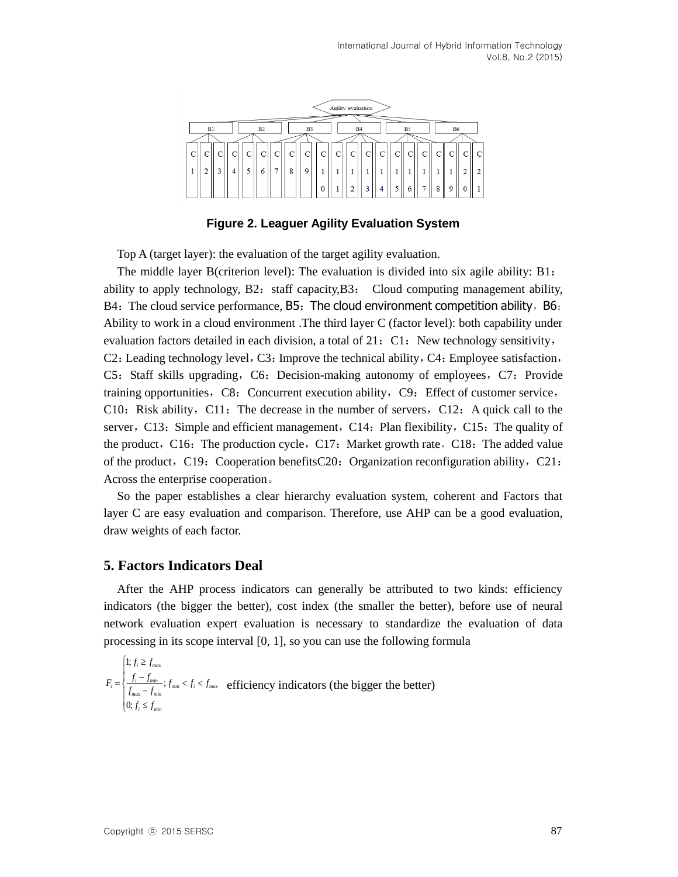

**Figure 2. Leaguer Agility Evaluation System**

Top A (target layer): the evaluation of the target agility evaluation.

The middle layer B(criterion level): The evaluation is divided into six agile ability: B1: ability to apply technology,  $B2$ : staff capacity, $B3$ : Cloud computing management ability,  $B4:$  The cloud service performance,  $B5:$  The cloud environment competition ability,  $B6:$ Ability to work in a cloud environment .The third layer C (factor level): both capability under evaluation factors detailed in each division, a total of 21: C1: New technology sensitivity, C2: Leading technology level, C3: Improve the technical ability, C4: Employee satisfaction, C5: Staff skills upgrading, C6: Decision-making autonomy of employees, C7: Provide training opportunities, C8: Concurrent execution ability, C9: Effect of customer service, C10: Risk ability, C11: The decrease in the number of servers, C12: A quick call to the server,  $C13$ : Simple and efficient management,  $C14$ : Plan flexibility,  $C15$ : The quality of the product, C16: The production cycle, C17: Market growth rate, C18: The added value of the product, C19: Cooperation benefitsC20: Organization reconfiguration ability, C21: Across the enterprise cooperation。

So the paper establishes a clear hierarchy evaluation system, coherent and Factors that layer C are easy evaluation and comparison. Therefore, use AHP can be a good evaluation, draw weights of each factor.

## **5. Factors Indicators Deal**

After the AHP process indicators can generally be attributed to two kinds: efficiency indicators (the bigger the better), cost index (the smaller the better), before use of neural network evaluation expert evaluation is necessary to standardize the evaluation of data processing in its scope interval [0, 1], so you can use the following formula

$$
F_i = \begin{cases} 1; f_i \ge f_{max} \\ \frac{f_i - f_{min}}{f_{max} - f_{min}}; f_{min} < f_i < f_{max} \\ \frac{f_{max} - f_{min}}{f_{max} - f_{min}} \end{cases}
$$
efficiency indicators (the bigger the better)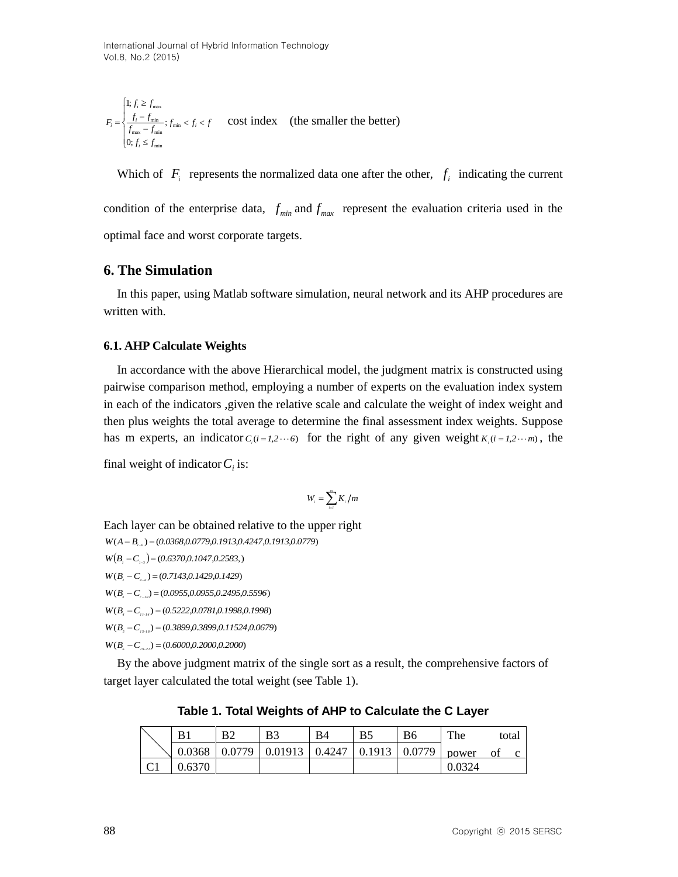$$
F_i = \begin{cases} 1; f_i \ge f_{\text{max}} \\ \frac{f_i - f_{\text{min}}}{f_{\text{max}} - f_{\text{min}}}, f_{\text{min}} < f_i < f \\ 0; f_i \le f_{\text{min}} \end{cases} \quad \text{cost index} \quad \text{(the smaller the better)}
$$

Which of  $F_i$  represents the normalized data one after the other,  $f_i$  indicating the current condition of the enterprise data,  $f_{min}$  and  $f_{max}$  represent the evaluation criteria used in the

optimal face and worst corporate targets.

## **6. The Simulation**

In this paper, using Matlab software simulation, neural network and its AHP procedures are written with.

#### **6.1. AHP Calculate Weights**

In accordance with the above Hierarchical model, the judgment matrix is constructed using pairwise comparison method, employing a number of experts on the evaluation index system in each of the indicators ,given the relative scale and calculate the weight of index weight and then plus weights the total average to determine the final assessment index weights. Suppose has m experts, an indicator  $C_i(i=1,2\cdots6)$  for the right of any given weight  $K_i(i=1,2\cdots m)$ , the

final weight of indicator  $C_i$  is:

$$
W_{i}=\sum_{i=1}^{m}K_{i}/m
$$

Each layer can be obtained relative to the upper right

*W*( $A - B$ <sub>1-6</sub></sub>) = (0.0368,0.0779,0.1913,0.4247,0.1913,0.0779)

*W*( $B_i - C_{i-3}$ ) = (0.6370,0.1047,0.2583,)

*W*(*B*<sub>,</sub> - C<sub><sub>4-6</sub></sub>) = (0.7143,0.1429,0.1429)

*W*(*B*<sub>*z*</sub> - *C*<sub>*z*-*i*</sub></sub>) = (0.0955,0.0955,0.2495,0.5596)

*W*( $B_i - C_{i+1}$ ) = (0.5222,0.0781,0.1998,0.1998)

*W*(*B*<sub>*s*</sub> - *C*<sub>*i*>-is</sub>) = (0.3899,0.3899,0.11524,0.0679)

*W*( $B_i - C_{i+1} = (0.6000, 0.2000, 0.2000)$ 

By the above judgment matrix of the single sort as a result, the comprehensive factors of target layer calculated the total weight (see Table 1).

|   | B1     | B <sub>2</sub> | B3      | <b>B</b> 4 | B5     | B6     | The    |    | total |
|---|--------|----------------|---------|------------|--------|--------|--------|----|-------|
|   | 0.0368 | 0.0779         | 0.01913 | 0.4247     | 0.1913 | 0.0779 | power  | O1 |       |
| U | 0.6370 |                |         |            |        |        | 0.0324 |    |       |

**Table 1. Total Weights of AHP to Calculate the C Layer**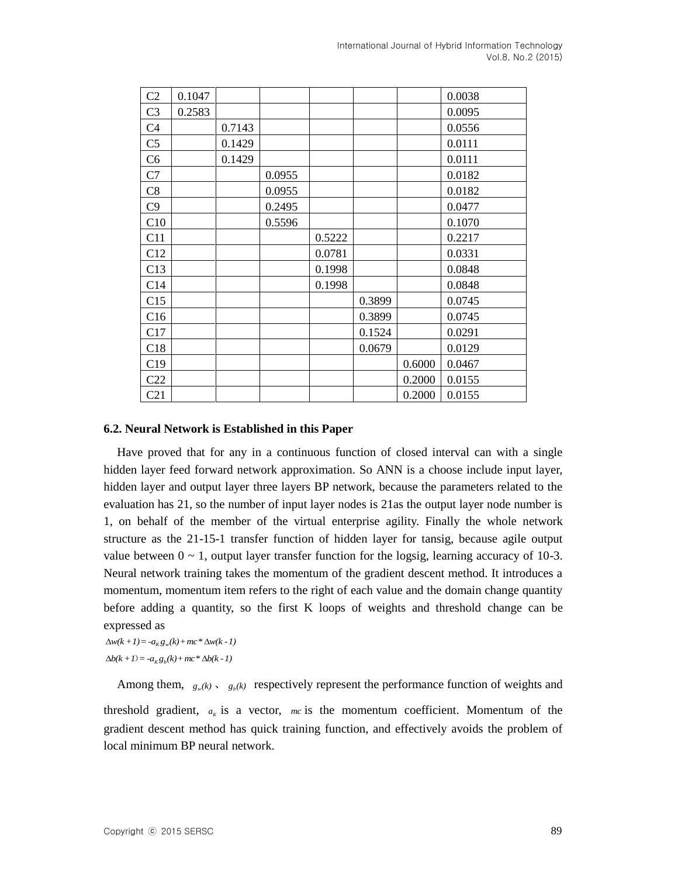| C <sub>2</sub> | 0.1047 |        |        |        |        |        | 0.0038 |
|----------------|--------|--------|--------|--------|--------|--------|--------|
| C <sub>3</sub> | 0.2583 |        |        |        |        |        | 0.0095 |
| C <sub>4</sub> |        | 0.7143 |        |        |        |        | 0.0556 |
| C <sub>5</sub> |        | 0.1429 |        |        |        |        | 0.0111 |
| C <sub>6</sub> |        | 0.1429 |        |        |        |        | 0.0111 |
| C7             |        |        | 0.0955 |        |        |        | 0.0182 |
| C8             |        |        | 0.0955 |        |        |        | 0.0182 |
| C9             |        |        | 0.2495 |        |        |        | 0.0477 |
| C10            |        |        | 0.5596 |        |        |        | 0.1070 |
| C11            |        |        |        | 0.5222 |        |        | 0.2217 |
| C12            |        |        |        | 0.0781 |        |        | 0.0331 |
| C13            |        |        |        | 0.1998 |        |        | 0.0848 |
| C14            |        |        |        | 0.1998 |        |        | 0.0848 |
| C15            |        |        |        |        | 0.3899 |        | 0.0745 |
| C16            |        |        |        |        | 0.3899 |        | 0.0745 |
| C17            |        |        |        |        | 0.1524 |        | 0.0291 |
| C18            |        |        |        |        | 0.0679 |        | 0.0129 |
| C19            |        |        |        |        |        | 0.6000 | 0.0467 |
| C22            |        |        |        |        |        | 0.2000 | 0.0155 |
| C21            |        |        |        |        |        | 0.2000 | 0.0155 |

#### **6.2. Neural Network is Established in this Paper**

Have proved that for any in a continuous function of closed interval can with a single hidden layer feed forward network approximation. So ANN is a choose include input layer, hidden layer and output layer three layers BP network, because the parameters related to the evaluation has 21, so the number of input layer nodes is 21as the output layer node number is 1, on behalf of the member of the virtual enterprise agility. Finally the whole network structure as the 21-15-1 transfer function of hidden layer for tansig, because agile output value between  $0 \sim 1$ , output layer transfer function for the logsig, learning accuracy of 10-3. Neural network training takes the momentum of the gradient descent method. It introduces a momentum, momentum item refers to the right of each value and the domain change quantity before adding a quantity, so the first K loops of weights and threshold change can be expressed as

 $\Delta w(k + 1) = -a_K g_w(k) + mc^* \Delta w(k - 1)$  $\Delta b(k + 1) = -a_{k} g_{k}(k) + mc^{*} \Delta b(k - 1)$ 

Among them,  $g_w(k)$ ,  $g_b(k)$  respectively represent the performance function of weights and

threshold gradient,  $a_k$  is a vector,  $mc$  is the momentum coefficient. Momentum of the gradient descent method has quick training function, and effectively avoids the problem of local minimum BP neural network.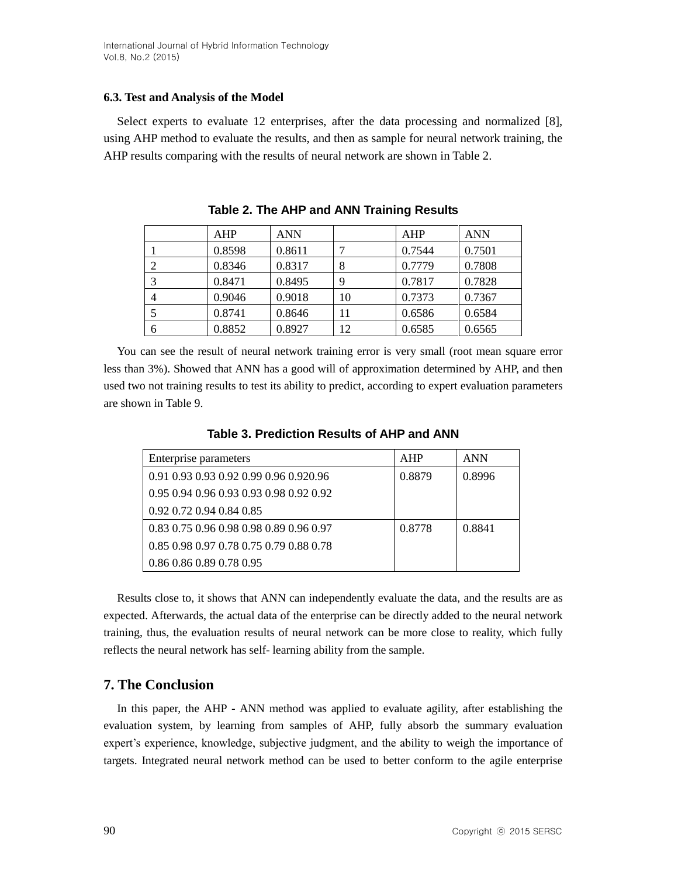## **6.3. Test and Analysis of the Model**

Select experts to evaluate 12 enterprises, after the data processing and normalized [8], using AHP method to evaluate the results, and then as sample for neural network training, the AHP results comparing with the results of neural network are shown in Table 2.

|   | <b>AHP</b> | ANN    |    | AHP    | <b>ANN</b> |
|---|------------|--------|----|--------|------------|
|   | 0.8598     | 0.8611 |    | 0.7544 | 0.7501     |
|   | 0.8346     | 0.8317 | 8  | 0.7779 | 0.7808     |
|   | 0.8471     | 0.8495 | 9  | 0.7817 | 0.7828     |
|   | 0.9046     | 0.9018 | 10 | 0.7373 | 0.7367     |
|   | 0.8741     | 0.8646 | 11 | 0.6586 | 0.6584     |
| 6 | 0.8852     | 0.8927 | 12 | 0.6585 | 0.6565     |

**Table 2. The AHP and ANN Training Results**

You can see the result of neural network training error is very small (root mean square error less than 3%). Showed that ANN has a good will of approximation determined by AHP, and then used two not training results to test its ability to predict, according to expert evaluation parameters are shown in Table 9.

Enterprise parameters AHP ANN 0.91 0.93 0.93 0.92 0.99 0.96 0.920.96 0.95 0.94 0.96 0.93 0.93 0.98 0.92 0.92 0.8879 0.8996 0.8879 0.8996

| Table 3. Prediction Results of AHP and ANN |  |  |
|--------------------------------------------|--|--|
|                                            |  |  |

Results close to, it shows that ANN can independently evaluate the data, and the results are as expected. Afterwards, the actual data of the enterprise can be directly added to the neural network training, thus, the evaluation results of neural network can be more close to reality, which fully reflects the neural network has self- learning ability from the sample.

## **7. The Conclusion**

0.92 0.72 0.94 0.84 0.85

0.86 0.86 0.89 0.78 0.95

0.83 0.75 0.96 0.98 0.98 0.89 0.96 0.97 0.85 0.98 0.97 0.78 0.75 0.79 0.88 0.78

In this paper, the AHP - ANN method was applied to evaluate agility, after establishing the evaluation system, by learning from samples of AHP, fully absorb the summary evaluation expert's experience, knowledge, subjective judgment, and the ability to weigh the importance of targets. Integrated neural network method can be used to better conform to the agile enterprise

0.8778 | 0.8841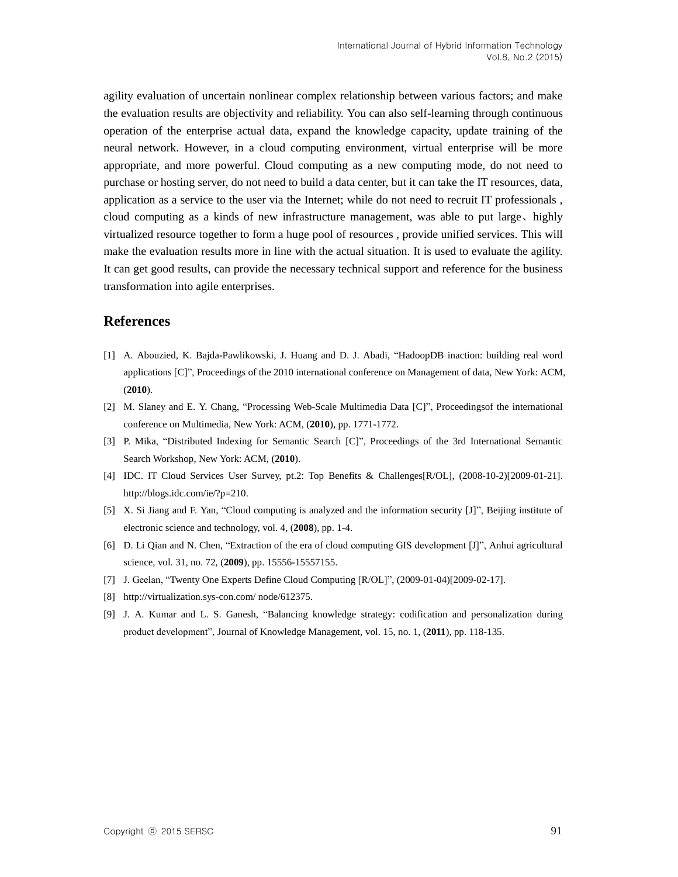agility evaluation of uncertain nonlinear complex relationship between various factors; and make the evaluation results are objectivity and reliability. You can also self-learning through continuous operation of the enterprise actual data, expand the knowledge capacity, update training of the neural network. However, in a cloud computing environment, virtual enterprise will be more appropriate, and more powerful. Cloud computing as a new computing mode, do not need to purchase or hosting server, do not need to build a data center, but it can take the IT resources, data, application as a service to the user via the Internet; while do not need to recruit IT professionals , cloud computing as a kinds of new infrastructure management, was able to put large、highly virtualized resource together to form a huge pool of resources , provide unified services. This will make the evaluation results more in line with the actual situation. It is used to evaluate the agility. It can get good results, can provide the necessary technical support and reference for the business transformation into agile enterprises.

#### **References**

- [1] A. Abouzied, K. Bajda-Pawlikowski, J. Huang and D. J. Abadi, "HadoopDB inaction: building real word applications [C]", Proceedings of the 2010 international conference on Management of data, New York: ACM, (**2010**).
- [2] M. Slaney and E. Y. Chang, "Processing Web-Scale Multimedia Data [C]", Proceedingsof the international conference on Multimedia, New York: ACM, (**2010**), pp. 1771-1772.
- [3] P. Mika, "Distributed Indexing for Semantic Search [C]", Proceedings of the 3rd International Semantic Search Workshop, New York: ACM, (**2010**).
- [4] IDC. IT Cloud Services User Survey, pt.2: Top Benefits & Challenges[R/OL], (2008-10-2)[2009-01-21]. http://blogs.idc.com/ie/?p=210.
- [5] X. Si Jiang and F. Yan, "Cloud computing is analyzed and the information security [J]", Beijing institute of electronic science and technology, vol. 4, (**2008**), pp. 1-4.
- [6] D. Li Qian and N. Chen, "Extraction of the era of cloud computing GIS development [J]", Anhui agricultural science, vol. 31, no. 72, (**2009**), pp. 15556-15557155.
- [7] J. Geelan, "Twenty One Experts Define Cloud Computing [R/OL]", (2009-01-04)[2009-02-17].
- [8] http://virtualization.sys-con.com/ node/612375.
- [9] J. A. Kumar and L. S. Ganesh, "Balancing knowledge strategy: codification and personalization during product development", Journal of Knowledge Management, vol. 15, no. 1, (**2011**), pp. 118-135.